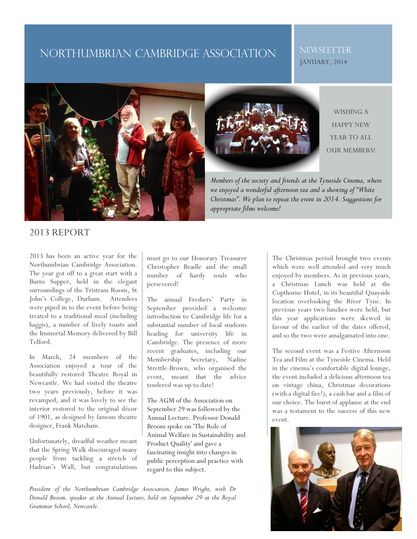# NORTHUMBRIAN CAMBRIDGE ASSOCIATION

### NEWSLETTER JANUARY, 2014





WISHING A HAPPY NEW YEAR TO ALL OUR MEMBERS!

*Members of the society and friends at the Tyneside Cinema, where we enjoyed a wonderful afternoon tea and a showing of "White Christmas". We plan to repeat the event in 2014. Suggestions for appropriate films welcome!*

### 2013 REPORT

2013 has been an active year for the Northumbrian Cambridge Association. The year got off to a great start with a Burns Supper, held in the elegant surroundings of the Tristram Room, St John's College, Durham. Attendees were piped in to the event before being treated to a traditional meal (including haggis), a number of lively toasts and the Immortal Memory delivered by Bill Telford.

In March, 24 members of the Association enjoyed a tour of the beautifully restored Theatre Royal in Newcastle. We had visited the theatre two years previously, before it was revamped, and it was lovely to see the interior restored to the original décor of 1901, as designed by famous theatre designer, Frank Matcham.

Unfortunately, dreadful weather meant that the Spring Walk discouraged many people from tackling a stretch of Hadrian's Wall, but congratulations

must go to our Honorary Treasurer Christopher Beadle and the small number of hardy souls who persevered!

The annual Freshers' Party in September provided a welcome introduction to Cambridge life for a substantial number of local students heading for university life in Cambridge. The presence of more recent graduates, including our Membership Secretary, Nadine Strettle-Brown, who organised the event, meant that the advice tendered was up to date!

The AGM of the Association on September 29 was followed by the Annual Lecture. Professor Donald Broom spoke on 'The Role of Animal Welfare in Sustainability and Product Quality' and gave a fascinating insight into changes in public perception and practice with regard to this subject.

*President of the Northumbrian Cambridge Association, James Wright, with Dr Donald Broom, speaker at the Annual Lecture, held on September 29 at the Royal Grammar School, Newcastle.* 

The Christmas period brought two events which were well attended and very much enjoyed by members. As in previous years, a Christmas Lunch was held at the Copthorne Hotel, in its beautiful Quayside location overlooking the River Tyne. In previous years two lunches were held, but this year applications were skewed in favour of the earlier of the dates offered, and so the two were amalgamated into one.

The second event was a Festive Afternoon Tea and Film at the Tyneside Cinema. Held in the cinema's comfortable digital lounge, the event included a delicious afternoon tea on vintage china, Christmas decorations (with a digital fire!), a cash bar and a film of our choice. The burst of applause at the end was a testament to the success of this new event.